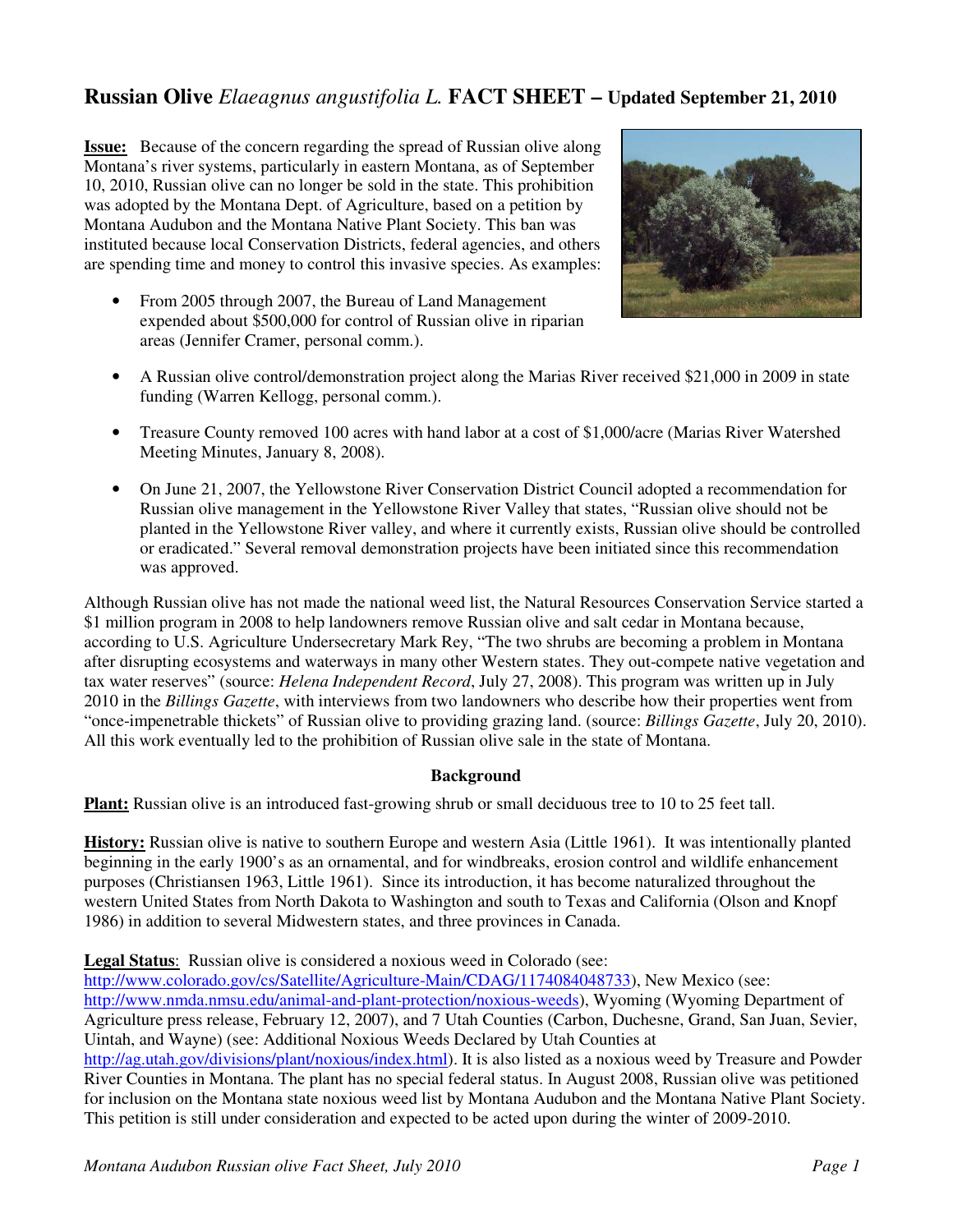## **Russian Olive** *Elaeagnus angustifolia L.* **FACT SHEET – Updated September 21, 2010**

**Issue:** Because of the concern regarding the spread of Russian olive along Montana's river systems, particularly in eastern Montana, as of September 10, 2010, Russian olive can no longer be sold in the state. This prohibition was adopted by the Montana Dept. of Agriculture, based on a petition by Montana Audubon and the Montana Native Plant Society. This ban was instituted because local Conservation Districts, federal agencies, and others are spending time and money to control this invasive species. As examples:

• From 2005 through 2007, the Bureau of Land Management expended about \$500,000 for control of Russian olive in riparian areas (Jennifer Cramer, personal comm.).



- A Russian olive control/demonstration project along the Marias River received \$21,000 in 2009 in state funding (Warren Kellogg, personal comm.).
- Treasure County removed 100 acres with hand labor at a cost of \$1,000/acre (Marias River Watershed Meeting Minutes, January 8, 2008).
- On June 21, 2007, the Yellowstone River Conservation District Council adopted a recommendation for Russian olive management in the Yellowstone River Valley that states, "Russian olive should not be planted in the Yellowstone River valley, and where it currently exists, Russian olive should be controlled or eradicated." Several removal demonstration projects have been initiated since this recommendation was approved.

Although Russian olive has not made the national weed list, the Natural Resources Conservation Service started a \$1 million program in 2008 to help landowners remove Russian olive and salt cedar in Montana because, according to U.S. Agriculture Undersecretary Mark Rey, "The two shrubs are becoming a problem in Montana after disrupting ecosystems and waterways in many other Western states. They out-compete native vegetation and tax water reserves" (source: *Helena Independent Record*, July 27, 2008). This program was written up in July 2010 in the *Billings Gazette*, with interviews from two landowners who describe how their properties went from "once-impenetrable thickets" of Russian olive to providing grazing land. (source: *Billings Gazette*, July 20, 2010). All this work eventually led to the prohibition of Russian olive sale in the state of Montana.

## **Background**

**Plant:** Russian olive is an introduced fast-growing shrub or small deciduous tree to 10 to 25 feet tall.

**History:** Russian olive is native to southern Europe and western Asia (Little 1961). It was intentionally planted beginning in the early 1900's as an ornamental, and for windbreaks, erosion control and wildlife enhancement purposes (Christiansen 1963, Little 1961). Since its introduction, it has become naturalized throughout the western United States from North Dakota to Washington and south to Texas and California (Olson and Knopf 1986) in addition to several Midwestern states, and three provinces in Canada.

**Legal Status**: Russian olive is considered a noxious weed in Colorado (see:

http://www.colorado.gov/cs/Satellite/Agriculture-Main/CDAG/1174084048733), New Mexico (see: http://www.nmda.nmsu.edu/animal-and-plant-protection/noxious-weeds), Wyoming (Wyoming Department of Agriculture press release, February 12, 2007), and 7 Utah Counties (Carbon, Duchesne, Grand, San Juan, Sevier, Uintah, and Wayne) (see: Additional Noxious Weeds Declared by Utah Counties at

http://ag.utah.gov/divisions/plant/noxious/index.html). It is also listed as a noxious weed by Treasure and Powder River Counties in Montana. The plant has no special federal status. In August 2008, Russian olive was petitioned for inclusion on the Montana state noxious weed list by Montana Audubon and the Montana Native Plant Society. This petition is still under consideration and expected to be acted upon during the winter of 2009-2010.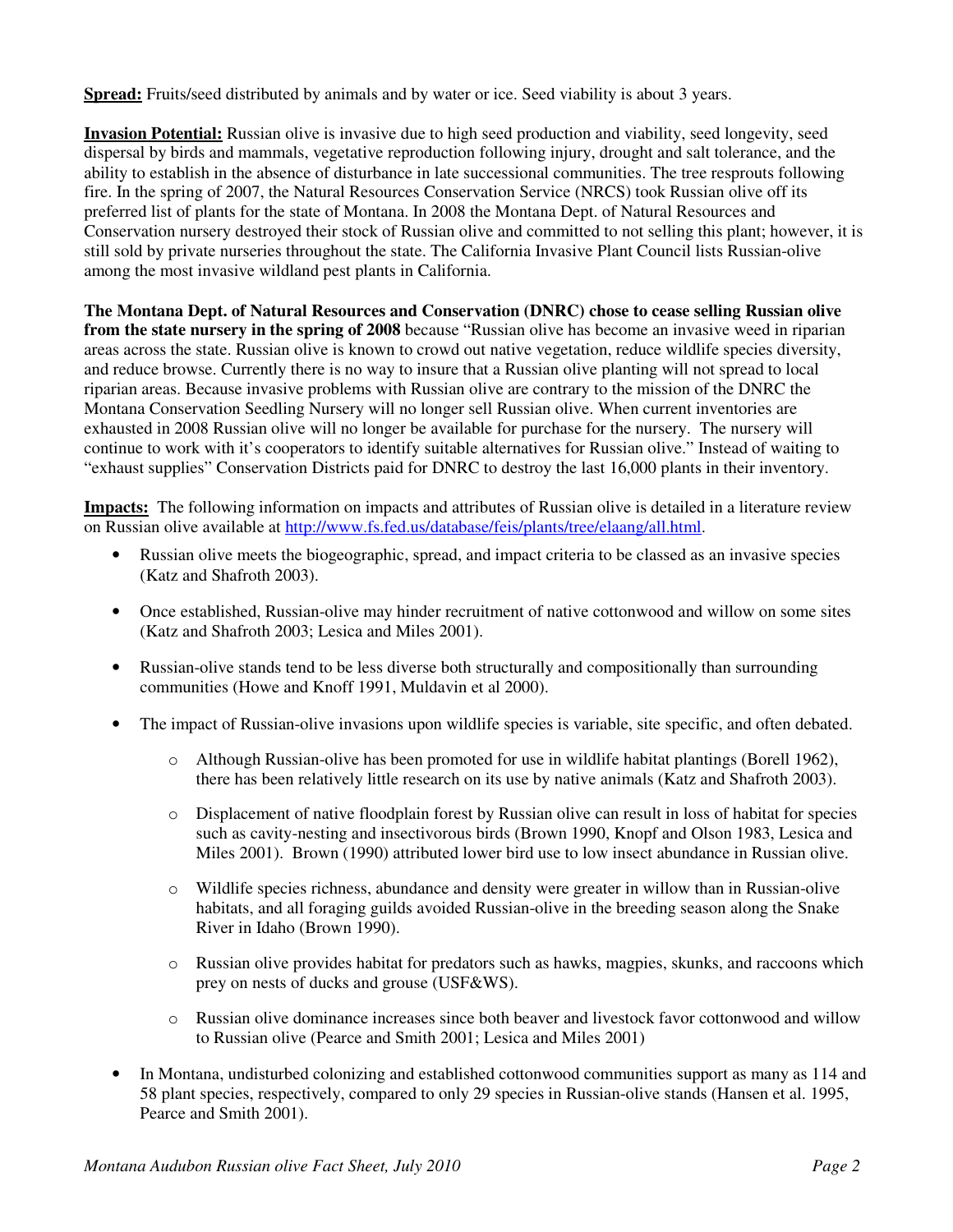**Spread:** Fruits/seed distributed by animals and by water or ice. Seed viability is about 3 years.

**Invasion Potential:** Russian olive is invasive due to high seed production and viability, seed longevity, seed dispersal by birds and mammals, vegetative reproduction following injury, drought and salt tolerance, and the ability to establish in the absence of disturbance in late successional communities. The tree resprouts following fire. In the spring of 2007, the Natural Resources Conservation Service (NRCS) took Russian olive off its preferred list of plants for the state of Montana. In 2008 the Montana Dept. of Natural Resources and Conservation nursery destroyed their stock of Russian olive and committed to not selling this plant; however, it is still sold by private nurseries throughout the state. The California Invasive Plant Council lists Russian-olive among the most invasive wildland pest plants in California.

**The Montana Dept. of Natural Resources and Conservation (DNRC) chose to cease selling Russian olive from the state nursery in the spring of 2008** because "Russian olive has become an invasive weed in riparian areas across the state. Russian olive is known to crowd out native vegetation, reduce wildlife species diversity, and reduce browse. Currently there is no way to insure that a Russian olive planting will not spread to local riparian areas. Because invasive problems with Russian olive are contrary to the mission of the DNRC the Montana Conservation Seedling Nursery will no longer sell Russian olive. When current inventories are exhausted in 2008 Russian olive will no longer be available for purchase for the nursery. The nursery will continue to work with it's cooperators to identify suitable alternatives for Russian olive." Instead of waiting to "exhaust supplies" Conservation Districts paid for DNRC to destroy the last 16,000 plants in their inventory.

**Impacts:** The following information on impacts and attributes of Russian olive is detailed in a literature review on Russian olive available at http://www.fs.fed.us/database/feis/plants/tree/elaang/all.html.

- Russian olive meets the biogeographic, spread, and impact criteria to be classed as an invasive species (Katz and Shafroth 2003).
- Once established, Russian-olive may hinder recruitment of native cottonwood and willow on some sites (Katz and Shafroth 2003; Lesica and Miles 2001).
- Russian-olive stands tend to be less diverse both structurally and compositionally than surrounding communities (Howe and Knoff 1991, Muldavin et al 2000).
- The impact of Russian-olive invasions upon wildlife species is variable, site specific, and often debated.
	- o Although Russian-olive has been promoted for use in wildlife habitat plantings (Borell 1962), there has been relatively little research on its use by native animals (Katz and Shafroth 2003).
	- o Displacement of native floodplain forest by Russian olive can result in loss of habitat for species such as cavity-nesting and insectivorous birds (Brown 1990, Knopf and Olson 1983, Lesica and Miles 2001). Brown (1990) attributed lower bird use to low insect abundance in Russian olive.
	- o Wildlife species richness, abundance and density were greater in willow than in Russian-olive habitats, and all foraging guilds avoided Russian-olive in the breeding season along the Snake River in Idaho (Brown 1990).
	- o Russian olive provides habitat for predators such as hawks, magpies, skunks, and raccoons which prey on nests of ducks and grouse (USF&WS).
	- o Russian olive dominance increases since both beaver and livestock favor cottonwood and willow to Russian olive (Pearce and Smith 2001; Lesica and Miles 2001)
- In Montana, undisturbed colonizing and established cottonwood communities support as many as 114 and 58 plant species, respectively, compared to only 29 species in Russian-olive stands (Hansen et al. 1995, Pearce and Smith 2001).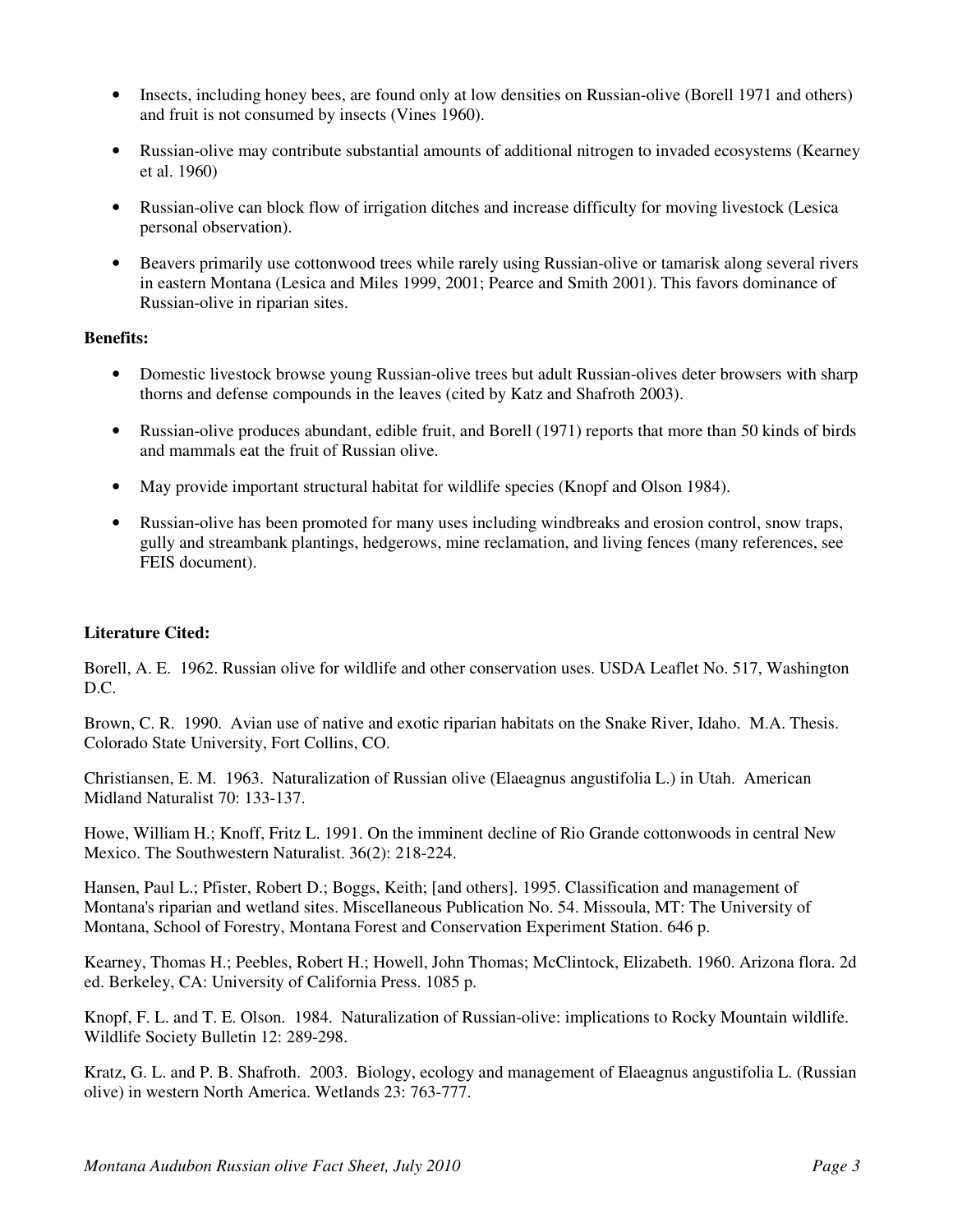- Insects, including honey bees, are found only at low densities on Russian-olive (Borell 1971 and others) and fruit is not consumed by insects (Vines 1960).
- Russian-olive may contribute substantial amounts of additional nitrogen to invaded ecosystems (Kearney et al. 1960)
- Russian-olive can block flow of irrigation ditches and increase difficulty for moving livestock (Lesica personal observation).
- Beavers primarily use cottonwood trees while rarely using Russian-olive or tamarisk along several rivers in eastern Montana (Lesica and Miles 1999, 2001; Pearce and Smith 2001). This favors dominance of Russian-olive in riparian sites.

## **Benefits:**

- Domestic livestock browse young Russian-olive trees but adult Russian-olives deter browsers with sharp thorns and defense compounds in the leaves (cited by Katz and Shafroth 2003).
- Russian-olive produces abundant, edible fruit, and Borell (1971) reports that more than 50 kinds of birds and mammals eat the fruit of Russian olive.
- May provide important structural habitat for wildlife species (Knopf and Olson 1984).
- Russian-olive has been promoted for many uses including windbreaks and erosion control, snow traps, gully and streambank plantings, hedgerows, mine reclamation, and living fences (many references, see FEIS document).

## **Literature Cited:**

Borell, A. E. 1962. Russian olive for wildlife and other conservation uses. USDA Leaflet No. 517, Washington D.C.

Brown, C. R. 1990. Avian use of native and exotic riparian habitats on the Snake River, Idaho. M.A. Thesis. Colorado State University, Fort Collins, CO.

Christiansen, E. M. 1963. Naturalization of Russian olive (Elaeagnus angustifolia L.) in Utah. American Midland Naturalist 70: 133-137.

Howe, William H.; Knoff, Fritz L. 1991. On the imminent decline of Rio Grande cottonwoods in central New Mexico. The Southwestern Naturalist. 36(2): 218-224.

Hansen, Paul L.; Pfister, Robert D.; Boggs, Keith; [and others]. 1995. Classification and management of Montana's riparian and wetland sites. Miscellaneous Publication No. 54. Missoula, MT: The University of Montana, School of Forestry, Montana Forest and Conservation Experiment Station. 646 p.

Kearney, Thomas H.; Peebles, Robert H.; Howell, John Thomas; McClintock, Elizabeth. 1960. Arizona flora. 2d ed. Berkeley, CA: University of California Press. 1085 p.

Knopf, F. L. and T. E. Olson. 1984. Naturalization of Russian-olive: implications to Rocky Mountain wildlife. Wildlife Society Bulletin 12: 289-298.

Kratz, G. L. and P. B. Shafroth. 2003. Biology, ecology and management of Elaeagnus angustifolia L. (Russian olive) in western North America. Wetlands 23: 763-777.